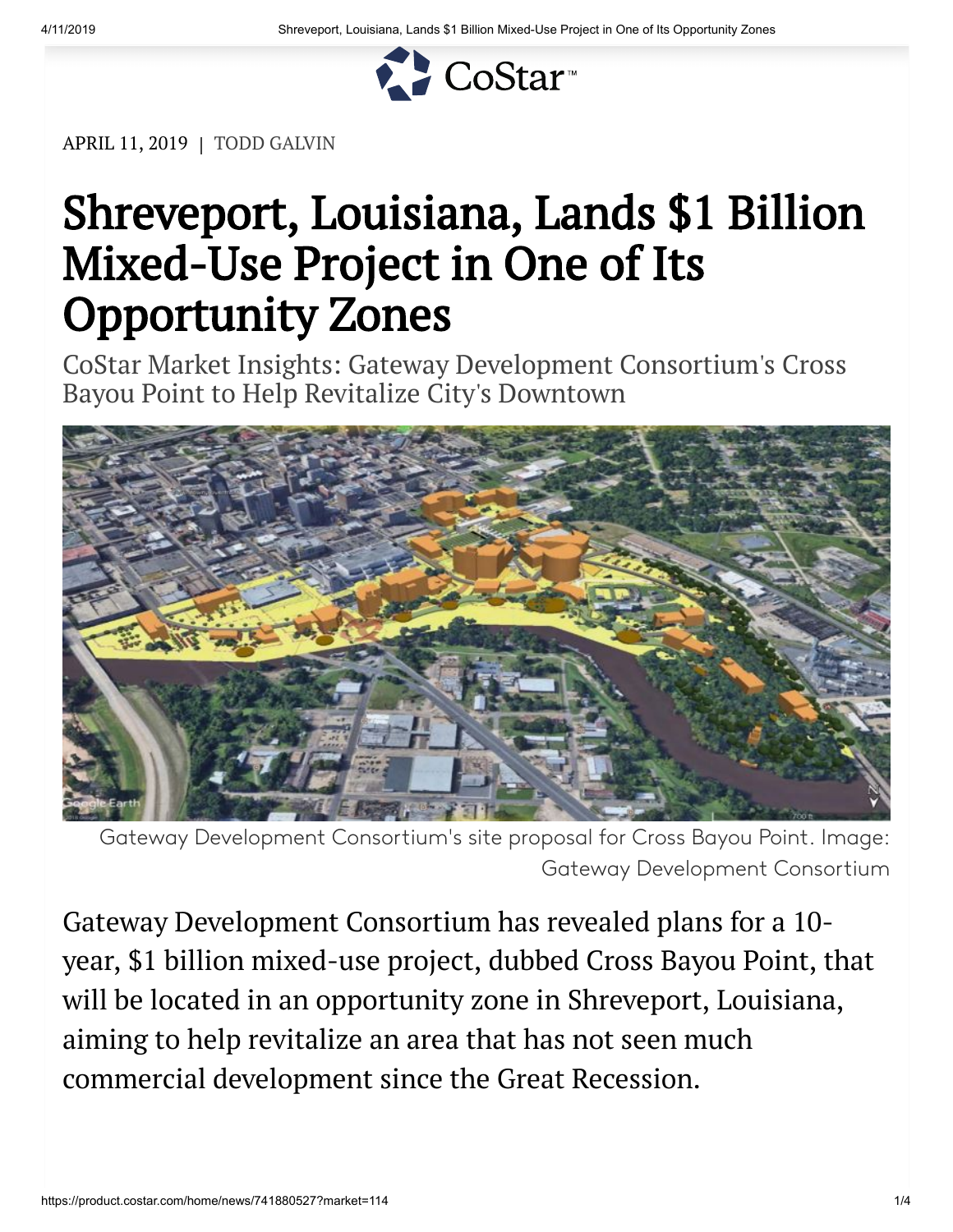

APRIL 11, 2019 | TODD GALVIN

## Shreveport, Louisiana, Lands \$1 Billion Mixed-Use Project in One of Its Opportunity Zones

CoStar Market Insights: Gateway Development Consortium's Cross Bayou Point to Help Revitalize City's Downtown



Gateway Development Consortium's site proposal for Cross Bayou Point. Image: Gateway Development Consortium

Gateway Development Consortium has revealed plans for a 10 year, \$1 billion mixed-use project, dubbed Cross Bayou Point, that will be located in an opportunity zone in Shreveport, Louisiana, aiming to help revitalize an area that has not seen much commercial development since the Great Recession.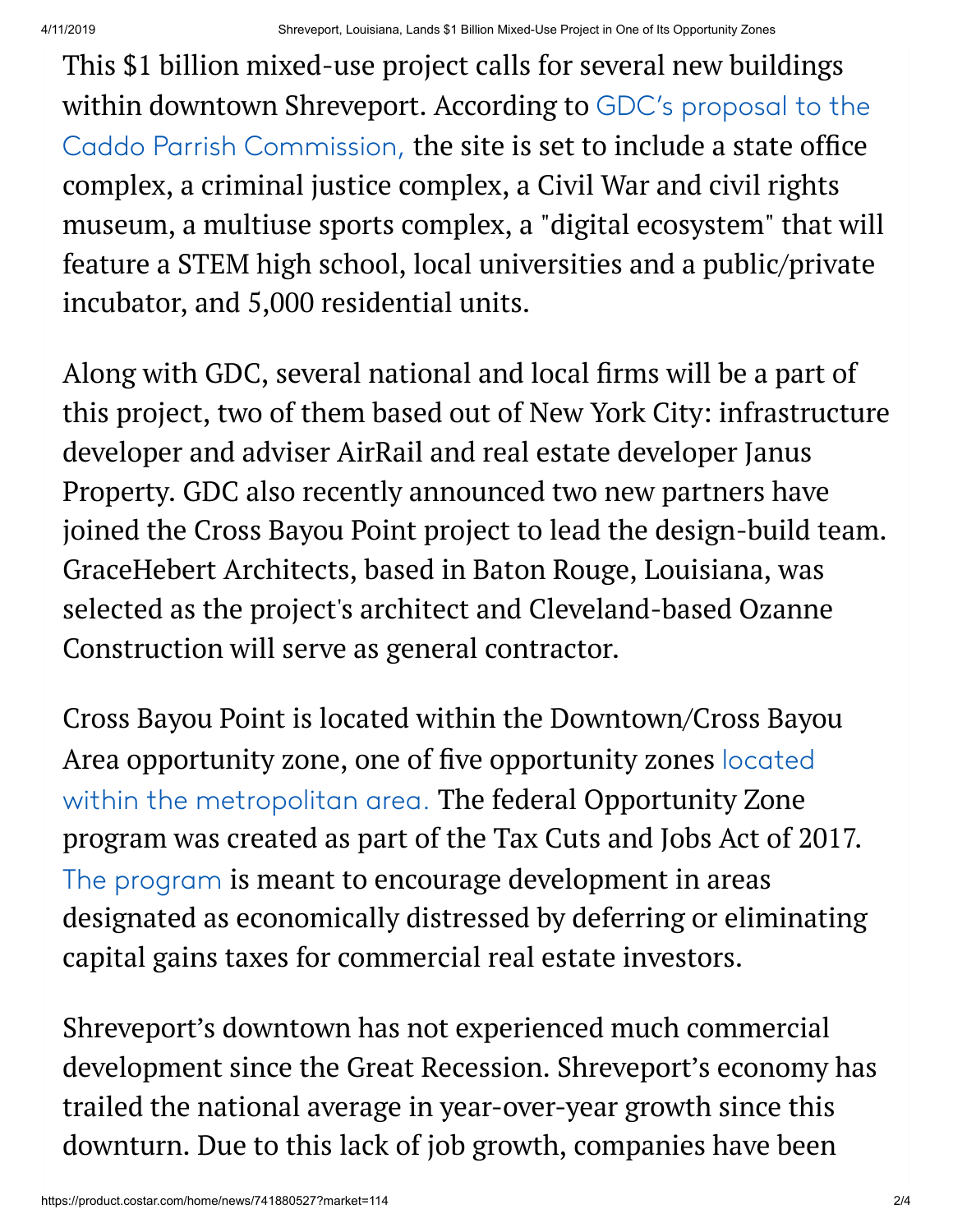This \$1 billion mixed-use project calls for several new buildings within downtown Shreveport. According to GDC's proposal to the [Caddo Parrish Commission,](https://docs.wixstatic.com/ugd/f9e296_f2130b783f7b417485e6e430bef65312.pdf) the site is set to include a state office complex, a criminal justice complex, a Civil War and civil rights museum, a multiuse sports complex, a "digital ecosystem" that will feature a STEM high school, local universities and a public/private incubator, and 5,000 residential units.

Along with GDC, several national and local firms will be a part of this project, two of them based out of New York City: infrastructure developer and adviser AirRail and real estate developer Janus Property. GDC also recently announced two new partners have joined the Cross Bayou Point project to lead the design-build team. GraceHebert Architects, based in Baton Rouge, Louisiana, was selected as the project's architect and Cleveland-based Ozanne Construction will serve as general contractor.

Cross Bayou Point is located within the Downtown/Cross Bayou Area opportunity zone, one of five opportunity zones located [within the metropolitan area.](https://www.shreveportla.gov/DocumentCenter/View/13375/07122018---7-18-OPPURTUNITY-ZONESDigital) The federal Opportunity Zone program was created as part of the Tax Cuts and Jobs Act of 2017. [The program](https://product.costar.com/home/news/shared/976324708) is meant to encourage development in areas designated as economically distressed by deferring or eliminating capital gains taxes for commercial real estate investors.

Shreveport's downtown has not experienced much commercial development since the Great Recession. Shreveport's economy has trailed the national average in year-over-year growth since this downturn. Due to this lack of job growth, companies have been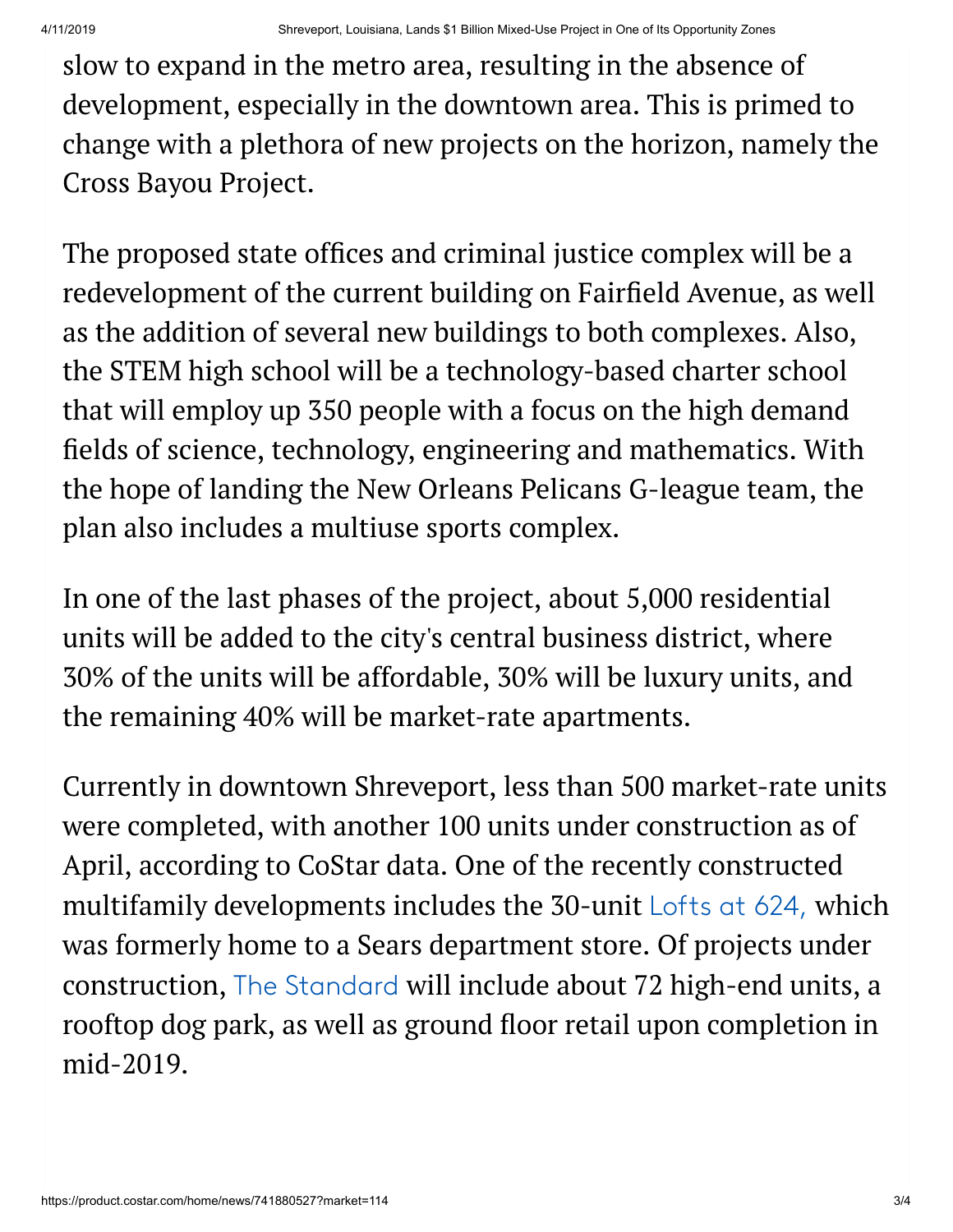slow to expand in the metro area, resulting in the absence of development, especially in the downtown area. This is primed to change with a plethora of new projects on the horizon, namely the Cross Bayou Project.

The proposed state offices and criminal justice complex will be a redevelopment of the current building on Fairfield Avenue, as well as the addition of several new buildings to both complexes. Also, the STEM high school will be a technology-based charter school that will employ up 350 people with a focus on the high demand fields of science, technology, engineering and mathematics. With the hope of landing the New Orleans Pelicans G-league team, the plan also includes a multiuse sports complex.

In one of the last phases of the project, about 5,000 residential units will be added to the city's central business district, where 30% of the units will be affordable, 30% will be luxury units, and the remaining 40% will be market-rate apartments.

Currently in downtown Shreveport, less than 500 market-rate units were completed, with another 100 units under construction as of April, according to CoStar data. One of the recently constructed multifamily developments includes the 30-unit [Lofts at 624,](http://gateway.costar.com/Gateway/Redir/RedirectToProduct.aspx?productId=1&redirUrl=redir%2FDefault.aspx%3FProductMode%3DProperty%26eid%3D9926874) which was formerly home to a Sears department store. Of projects under construction, [The Standard](http://gateway.costar.com/Gateway/Redir/RedirectToProduct.aspx?productId=1&redirUrl=redir%2FDefault.aspx%3FProductMode%3DProperty%26eid%3D11045686) will include about 72 high-end units, a rooftop dog park, as well as ground floor retail upon completion in mid-2019.